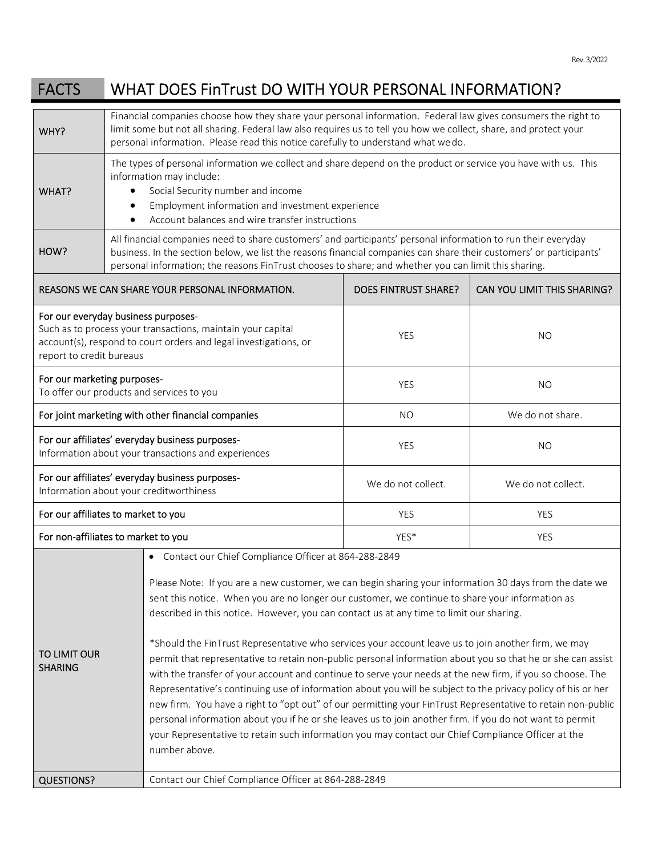| <b>FACTS</b>                                                                                                                                                                                       | WHAT DOES FinTrust DO WITH YOUR PERSONAL INFORMATION?                                                                                                                                                                                                                                                                                                                                                                                                                                                                                                                                                                                                                                                                                                                                                                                                                                                                                                                                                                                                                                                                                                               |                                                                                                                                                                                                                                                                                                                                              |                             |  |
|----------------------------------------------------------------------------------------------------------------------------------------------------------------------------------------------------|---------------------------------------------------------------------------------------------------------------------------------------------------------------------------------------------------------------------------------------------------------------------------------------------------------------------------------------------------------------------------------------------------------------------------------------------------------------------------------------------------------------------------------------------------------------------------------------------------------------------------------------------------------------------------------------------------------------------------------------------------------------------------------------------------------------------------------------------------------------------------------------------------------------------------------------------------------------------------------------------------------------------------------------------------------------------------------------------------------------------------------------------------------------------|----------------------------------------------------------------------------------------------------------------------------------------------------------------------------------------------------------------------------------------------------------------------------------------------------------------------------------------------|-----------------------------|--|
| WHY?                                                                                                                                                                                               | Financial companies choose how they share your personal information. Federal law gives consumers the right to<br>limit some but not all sharing. Federal law also requires us to tell you how we collect, share, and protect your<br>personal information. Please read this notice carefully to understand what wedo.                                                                                                                                                                                                                                                                                                                                                                                                                                                                                                                                                                                                                                                                                                                                                                                                                                               |                                                                                                                                                                                                                                                                                                                                              |                             |  |
| WHAT?                                                                                                                                                                                              | The types of personal information we collect and share depend on the product or service you have with us. This<br>information may include:<br>Social Security number and income<br>Employment information and investment experience<br>Account balances and wire transfer instructions                                                                                                                                                                                                                                                                                                                                                                                                                                                                                                                                                                                                                                                                                                                                                                                                                                                                              |                                                                                                                                                                                                                                                                                                                                              |                             |  |
| HOW?                                                                                                                                                                                               |                                                                                                                                                                                                                                                                                                                                                                                                                                                                                                                                                                                                                                                                                                                                                                                                                                                                                                                                                                                                                                                                                                                                                                     | All financial companies need to share customers' and participants' personal information to run their everyday<br>business. In the section below, we list the reasons financial companies can share their customers' or participants'<br>personal information; the reasons FinTrust chooses to share; and whether you can limit this sharing. |                             |  |
| REASONS WE CAN SHARE YOUR PERSONAL INFORMATION.                                                                                                                                                    |                                                                                                                                                                                                                                                                                                                                                                                                                                                                                                                                                                                                                                                                                                                                                                                                                                                                                                                                                                                                                                                                                                                                                                     | <b>DOES FINTRUST SHARE?</b>                                                                                                                                                                                                                                                                                                                  | CAN YOU LIMIT THIS SHARING? |  |
| For our everyday business purposes-<br>Such as to process your transactions, maintain your capital<br>account(s), respond to court orders and legal investigations, or<br>report to credit bureaus |                                                                                                                                                                                                                                                                                                                                                                                                                                                                                                                                                                                                                                                                                                                                                                                                                                                                                                                                                                                                                                                                                                                                                                     | <b>YES</b>                                                                                                                                                                                                                                                                                                                                   | NO.                         |  |
| For our marketing purposes-<br>To offer our products and services to you                                                                                                                           |                                                                                                                                                                                                                                                                                                                                                                                                                                                                                                                                                                                                                                                                                                                                                                                                                                                                                                                                                                                                                                                                                                                                                                     | <b>YES</b>                                                                                                                                                                                                                                                                                                                                   | <b>NO</b>                   |  |
| For joint marketing with other financial companies                                                                                                                                                 |                                                                                                                                                                                                                                                                                                                                                                                                                                                                                                                                                                                                                                                                                                                                                                                                                                                                                                                                                                                                                                                                                                                                                                     | <b>NO</b>                                                                                                                                                                                                                                                                                                                                    | We do not share.            |  |
| For our affiliates' everyday business purposes-<br>Information about your transactions and experiences                                                                                             |                                                                                                                                                                                                                                                                                                                                                                                                                                                                                                                                                                                                                                                                                                                                                                                                                                                                                                                                                                                                                                                                                                                                                                     | <b>YES</b>                                                                                                                                                                                                                                                                                                                                   | <b>NO</b>                   |  |
| For our affiliates' everyday business purposes-<br>Information about your creditworthiness                                                                                                         |                                                                                                                                                                                                                                                                                                                                                                                                                                                                                                                                                                                                                                                                                                                                                                                                                                                                                                                                                                                                                                                                                                                                                                     | We do not collect.                                                                                                                                                                                                                                                                                                                           | We do not collect.          |  |
| For our affiliates to market to you                                                                                                                                                                |                                                                                                                                                                                                                                                                                                                                                                                                                                                                                                                                                                                                                                                                                                                                                                                                                                                                                                                                                                                                                                                                                                                                                                     | <b>YES</b>                                                                                                                                                                                                                                                                                                                                   | YES                         |  |
| For non-affiliates to market to you                                                                                                                                                                |                                                                                                                                                                                                                                                                                                                                                                                                                                                                                                                                                                                                                                                                                                                                                                                                                                                                                                                                                                                                                                                                                                                                                                     | YES <sup>*</sup>                                                                                                                                                                                                                                                                                                                             | <b>YES</b>                  |  |
| TO LIMIT OUR<br><b>SHARING</b>                                                                                                                                                                     | • Contact our Chief Compliance Officer at 864-288-2849<br>Please Note: If you are a new customer, we can begin sharing your information 30 days from the date we<br>sent this notice. When you are no longer our customer, we continue to share your information as<br>described in this notice. However, you can contact us at any time to limit our sharing.<br>*Should the FinTrust Representative who services your account leave us to join another firm, we may<br>permit that representative to retain non-public personal information about you so that he or she can assist<br>with the transfer of your account and continue to serve your needs at the new firm, if you so choose. The<br>Representative's continuing use of information about you will be subject to the privacy policy of his or her<br>new firm. You have a right to "opt out" of our permitting your FinTrust Representative to retain non-public<br>personal information about you if he or she leaves us to join another firm. If you do not want to permit<br>your Representative to retain such information you may contact our Chief Compliance Officer at the<br>number above. |                                                                                                                                                                                                                                                                                                                                              |                             |  |
| <b>QUESTIONS?</b>                                                                                                                                                                                  |                                                                                                                                                                                                                                                                                                                                                                                                                                                                                                                                                                                                                                                                                                                                                                                                                                                                                                                                                                                                                                                                                                                                                                     | Contact our Chief Compliance Officer at 864-288-2849                                                                                                                                                                                                                                                                                         |                             |  |